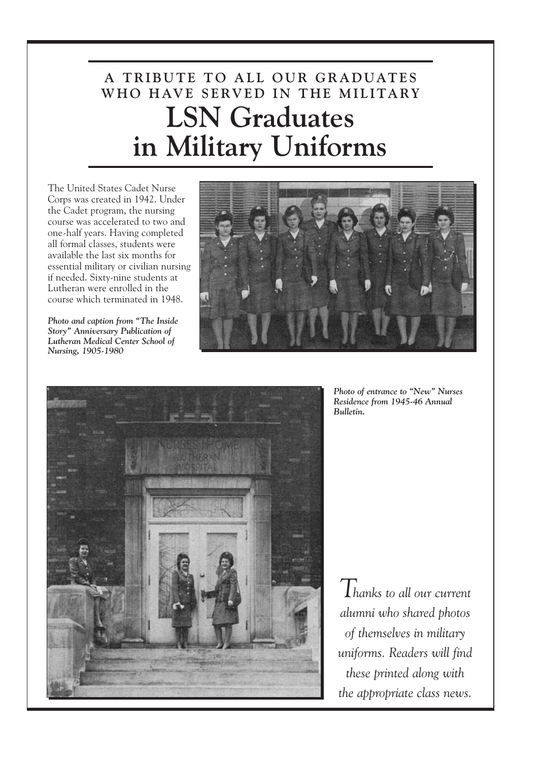## **A T R IB U TE T O A L L O U R G R A D UATE S WH O H AV E S E RV E D I N T H E M I L ITA RY LSN Graduates in Military Uniforms**

The United States Cadet Nurse Corps was created in 1942. Under the Cadet program, the nursing course was accelerated to two and one-half years. Having completed all formal classes, students were available the last six months for essential military or civilian nursing if needed. Sixty-nine students at Lutheran were enrolled in the course which terminated in 1948.

*Photo and caption from "The Inside Story" Anniversary Publication of Lutheran Medical Center School of Nursing, 1905-1980*





*Photo of entrance to "New" Nurses Residence from 1945-46 Annual Bulletin.*

*Thanks to all our current alumni who shared photos of themselves in military uniforms. Readers will find these printed along with the appropriate class news.*